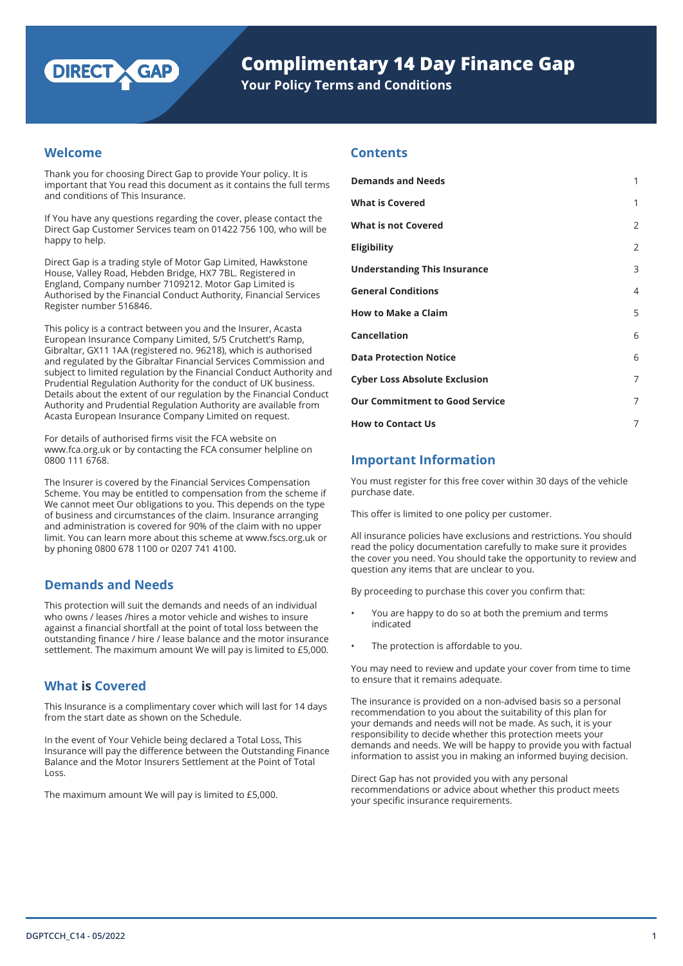

**Your Policy Terms and Conditions**

# **Welcome**

Thank you for choosing Direct Gap to provide Your policy. It is important that You read this document as it contains the full terms and conditions of This Insurance.

If You have any questions regarding the cover, please contact the Direct Gap Customer Services team on 01422 756 100, who will be happy to help.

Direct Gap is a trading style of Motor Gap Limited, Hawkstone House, Valley Road, Hebden Bridge, HX7 7BL. Registered in England, Company number 7109212. Motor Gap Limited is Authorised by the Financial Conduct Authority, Financial Services Register number 516846.

This policy is a contract between you and the Insurer, Acasta European Insurance Company Limited, 5/5 Crutchett's Ramp, Gibraltar, GX11 1AA (registered no. 96218), which is authorised and regulated by the Gibraltar Financial Services Commission and subject to limited regulation by the Financial Conduct Authority and Prudential Regulation Authority for the conduct of UK business. Details about the extent of our regulation by the Financial Conduct Authority and Prudential Regulation Authority are available from Acasta European Insurance Company Limited on request.

For details of authorised firms visit the FCA website on www.fca.org.uk or by contacting the FCA consumer helpline on 0800 111 6768.

The Insurer is covered by the Financial Services Compensation Scheme. You may be entitled to compensation from the scheme if We cannot meet Our obligations to you. This depends on the type of business and circumstances of the claim. Insurance arranging and administration is covered for 90% of the claim with no upper limit. You can learn more about this scheme at www.fscs.org.uk or by phoning 0800 678 1100 or 0207 741 4100.

# **Demands and Needs**

This protection will suit the demands and needs of an individual who owns / leases /hires a motor vehicle and wishes to insure against a financial shortfall at the point of total loss between the outstanding finance / hire / lease balance and the motor insurance settlement. The maximum amount We will pay is limited to £5,000.

# **What is Covered**

This Insurance is a complimentary cover which will last for 14 days from the start date as shown on the Schedule.

In the event of Your Vehicle being declared a Total Loss, This Insurance will pay the difference between the Outstanding Finance Balance and the Motor Insurers Settlement at the Point of Total Loss.

The maximum amount We will pay is limited to £5,000.

# **Contents**

| <b>Demands and Needs</b>              | 1              |
|---------------------------------------|----------------|
| <b>What is Covered</b>                | 1              |
| <b>What is not Covered</b>            | $\overline{2}$ |
| <b>Eligibility</b>                    | $\overline{2}$ |
| <b>Understanding This Insurance</b>   | 3              |
| <b>General Conditions</b>             | 4              |
| <b>How to Make a Claim</b>            | 5              |
| <b>Cancellation</b>                   | 6              |
| <b>Data Protection Notice</b>         | 6              |
| <b>Cyber Loss Absolute Exclusion</b>  | 7              |
| <b>Our Commitment to Good Service</b> | 7              |
| <b>How to Contact Us</b>              | 7              |

# **Important Information**

You must register for this free cover within 30 days of the vehicle purchase date.

This offer is limited to one policy per customer.

All insurance policies have exclusions and restrictions. You should read the policy documentation carefully to make sure it provides the cover you need. You should take the opportunity to review and question any items that are unclear to you.

By proceeding to purchase this cover you confirm that:

- You are happy to do so at both the premium and terms indicated
- The protection is affordable to you.

You may need to review and update your cover from time to time to ensure that it remains adequate.

The insurance is provided on a non-advised basis so a personal recommendation to you about the suitability of this plan for your demands and needs will not be made. As such, it is your responsibility to decide whether this protection meets your demands and needs. We will be happy to provide you with factual information to assist you in making an informed buying decision.

Direct Gap has not provided you with any personal recommendations or advice about whether this product meets your specific insurance requirements.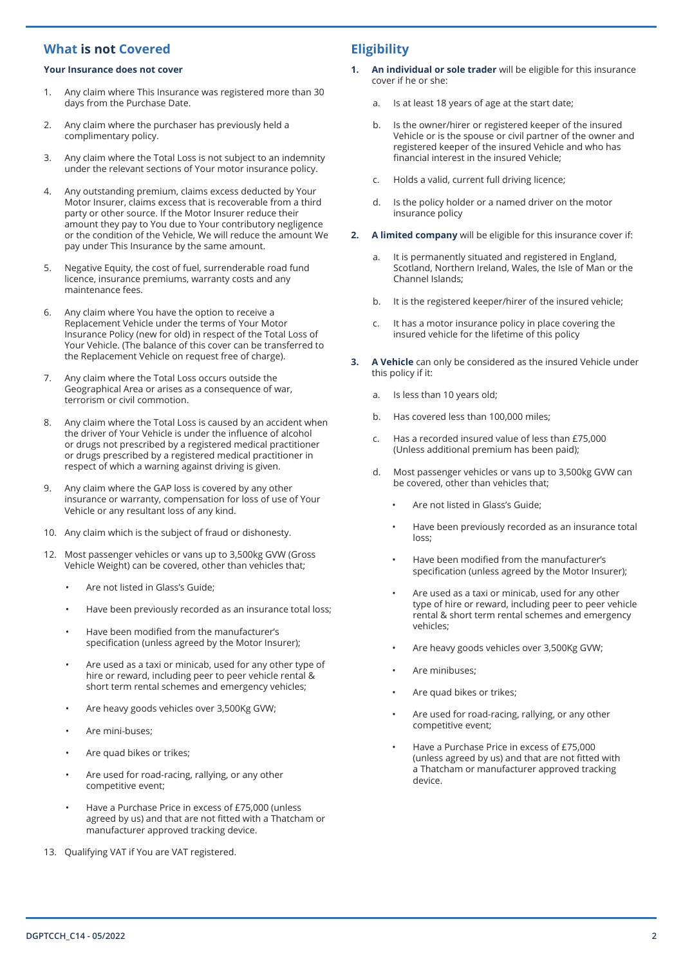# **What is not Covered**

#### **Your Insurance does not cover**

- 1. Any claim where This Insurance was registered more than 30 days from the Purchase Date.
- 2. Any claim where the purchaser has previously held a complimentary policy.
- 3. Any claim where the Total Loss is not subject to an indemnity under the relevant sections of Your motor insurance policy.
- 4. Any outstanding premium, claims excess deducted by Your Motor Insurer, claims excess that is recoverable from a third party or other source. If the Motor Insurer reduce their amount they pay to You due to Your contributory negligence or the condition of the Vehicle, We will reduce the amount We pay under This Insurance by the same amount.
- 5. Negative Equity, the cost of fuel, surrenderable road fund licence, insurance premiums, warranty costs and any maintenance fees.
- 6. Any claim where You have the option to receive a Replacement Vehicle under the terms of Your Motor Insurance Policy (new for old) in respect of the Total Loss of Your Vehicle. (The balance of this cover can be transferred to the Replacement Vehicle on request free of charge).
- 7. Any claim where the Total Loss occurs outside the Geographical Area or arises as a consequence of war, terrorism or civil commotion.
- 8. Any claim where the Total Loss is caused by an accident when the driver of Your Vehicle is under the influence of alcohol or drugs not prescribed by a registered medical practitioner or drugs prescribed by a registered medical practitioner in respect of which a warning against driving is given.
- 9. Any claim where the GAP loss is covered by any other insurance or warranty, compensation for loss of use of Your Vehicle or any resultant loss of any kind.
- 10. Any claim which is the subject of fraud or dishonesty.
- 12. Most passenger vehicles or vans up to 3,500kg GVW (Gross Vehicle Weight) can be covered, other than vehicles that;
	- Are not listed in Glass's Guide;
	- Have been previously recorded as an insurance total loss;
	- Have been modified from the manufacturer's specification (unless agreed by the Motor Insurer);
	- Are used as a taxi or minicab, used for any other type of hire or reward, including peer to peer vehicle rental & short term rental schemes and emergency vehicles;
	- Are heavy goods vehicles over 3,500Kg GVW;
	- Are mini-buses;
	- Are quad bikes or trikes;
	- Are used for road-racing, rallying, or any other competitive event;
	- Have a Purchase Price in excess of £75,000 (unless agreed by us) and that are not fitted with a Thatcham or manufacturer approved tracking device.
- 13. Qualifying VAT if You are VAT registered.

# **Eligibility**

- **1. An individual or sole trader** will be eligible for this insurance cover if he or she:
	- a. Is at least 18 years of age at the start date;
	- b. Is the owner/hirer or registered keeper of the insured Vehicle or is the spouse or civil partner of the owner and registered keeper of the insured Vehicle and who has financial interest in the insured Vehicle;
	- c. Holds a valid, current full driving licence;
	- d. Is the policy holder or a named driver on the motor insurance policy
- **2. A limited company** will be eligible for this insurance cover if:
	- a. It is permanently situated and registered in England, Scotland, Northern Ireland, Wales, the Isle of Man or the Channel Islands;
	- b. It is the registered keeper/hirer of the insured vehicle;
	- c. It has a motor insurance policy in place covering the insured vehicle for the lifetime of this policy
- **3. A Vehicle** can only be considered as the insured Vehicle under this policy if it:
	- a. Is less than 10 years old;
	- b. Has covered less than 100,000 miles;
	- c. Has a recorded insured value of less than £75,000 (Unless additional premium has been paid);
	- d. Most passenger vehicles or vans up to 3,500kg GVW can be covered, other than vehicles that;
		- Are not listed in Glass's Guide;
		- Have been previously recorded as an insurance total loss;
		- Have been modified from the manufacturer's specification (unless agreed by the Motor Insurer);
		- Are used as a taxi or minicab, used for any other type of hire or reward, including peer to peer vehicle rental & short term rental schemes and emergency vehicles;
		- Are heavy goods vehicles over 3,500Kg GVW;
		- Are minibuses;
		- Are quad bikes or trikes;
		- Are used for road-racing, rallying, or any other competitive event;
		- Have a Purchase Price in excess of £75,000 (unless agreed by us) and that are not fitted with a Thatcham or manufacturer approved tracking device.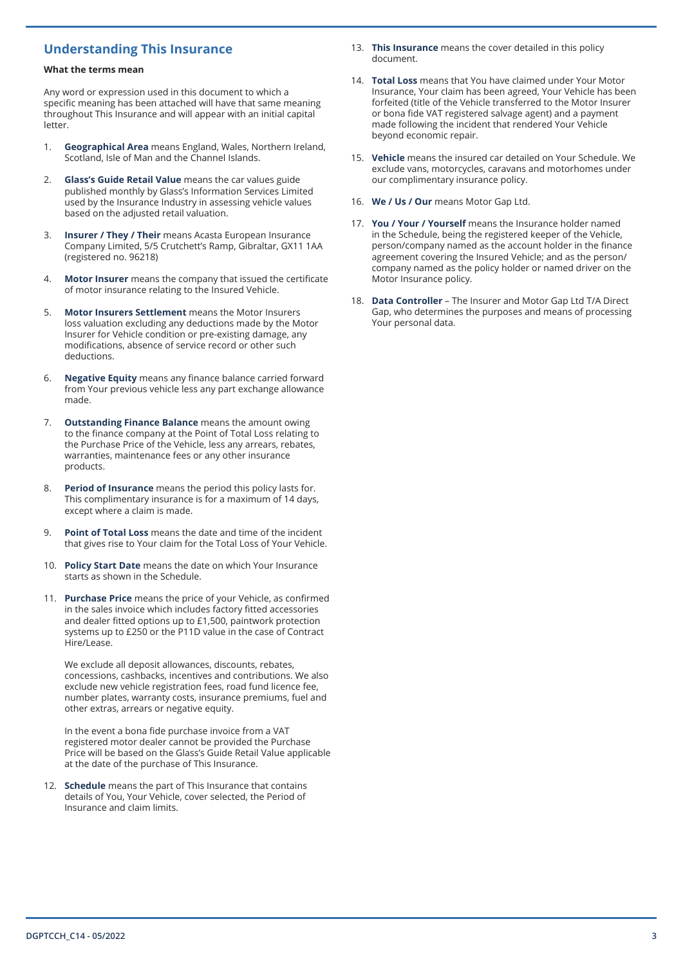# **Understanding This Insurance**

#### **What the terms mean**

Any word or expression used in this document to which a specific meaning has been attached will have that same meaning throughout This Insurance and will appear with an initial capital letter.

- 1. **Geographical Area** means England, Wales, Northern Ireland, Scotland, Isle of Man and the Channel Islands.
- 2. **Glass's Guide Retail Value** means the car values guide published monthly by Glass's Information Services Limited used by the Insurance Industry in assessing vehicle values based on the adjusted retail valuation.
- **Insurer / They / Their** means Acasta European Insurance Company Limited, 5/5 Crutchett's Ramp, Gibraltar, GX11 1AA (registered no. 96218)
- 4. **Motor Insurer** means the company that issued the certificate of motor insurance relating to the Insured Vehicle.
- 5. **Motor Insurers Settlement** means the Motor Insurers loss valuation excluding any deductions made by the Motor Insurer for Vehicle condition or pre-existing damage, any modifications, absence of service record or other such deductions.
- 6. **Negative Equity** means any finance balance carried forward from Your previous vehicle less any part exchange allowance made.
- 7. **Outstanding Finance Balance** means the amount owing to the finance company at the Point of Total Loss relating to the Purchase Price of the Vehicle, less any arrears, rebates, warranties, maintenance fees or any other insurance products.
- 8. **Period of Insurance** means the period this policy lasts for. This complimentary insurance is for a maximum of 14 days, except where a claim is made.
- 9. **Point of Total Loss** means the date and time of the incident that gives rise to Your claim for the Total Loss of Your Vehicle.
- 10. **Policy Start Date** means the date on which Your Insurance starts as shown in the Schedule.
- 11. **Purchase Price** means the price of your Vehicle, as confirmed in the sales invoice which includes factory fitted accessories and dealer fitted options up to £1,500, paintwork protection systems up to £250 or the P11D value in the case of Contract Hire/Lease.

We exclude all deposit allowances, discounts, rebates, concessions, cashbacks, incentives and contributions. We also exclude new vehicle registration fees, road fund licence fee, number plates, warranty costs, insurance premiums, fuel and other extras, arrears or negative equity.

In the event a bona fide purchase invoice from a VAT registered motor dealer cannot be provided the Purchase Price will be based on the Glass's Guide Retail Value applicable at the date of the purchase of This Insurance.

12. **Schedule** means the part of This Insurance that contains details of You, Your Vehicle, cover selected, the Period of Insurance and claim limits.

- 13. **This Insurance** means the cover detailed in this policy document.
- 14. **Total Loss** means that You have claimed under Your Motor Insurance, Your claim has been agreed, Your Vehicle has been forfeited (title of the Vehicle transferred to the Motor Insurer or bona fide VAT registered salvage agent) and a payment made following the incident that rendered Your Vehicle beyond economic repair.
- 15. **Vehicle** means the insured car detailed on Your Schedule. We exclude vans, motorcycles, caravans and motorhomes under our complimentary insurance policy.
- 16. **We / Us / Our** means Motor Gap Ltd.
- 17. **You / Your / Yourself** means the Insurance holder named in the Schedule, being the registered keeper of the Vehicle, person/company named as the account holder in the finance agreement covering the Insured Vehicle; and as the person/ company named as the policy holder or named driver on the Motor Insurance policy.
- 18. **Data Controller** The Insurer and Motor Gap Ltd T/A Direct Gap, who determines the purposes and means of processing Your personal data.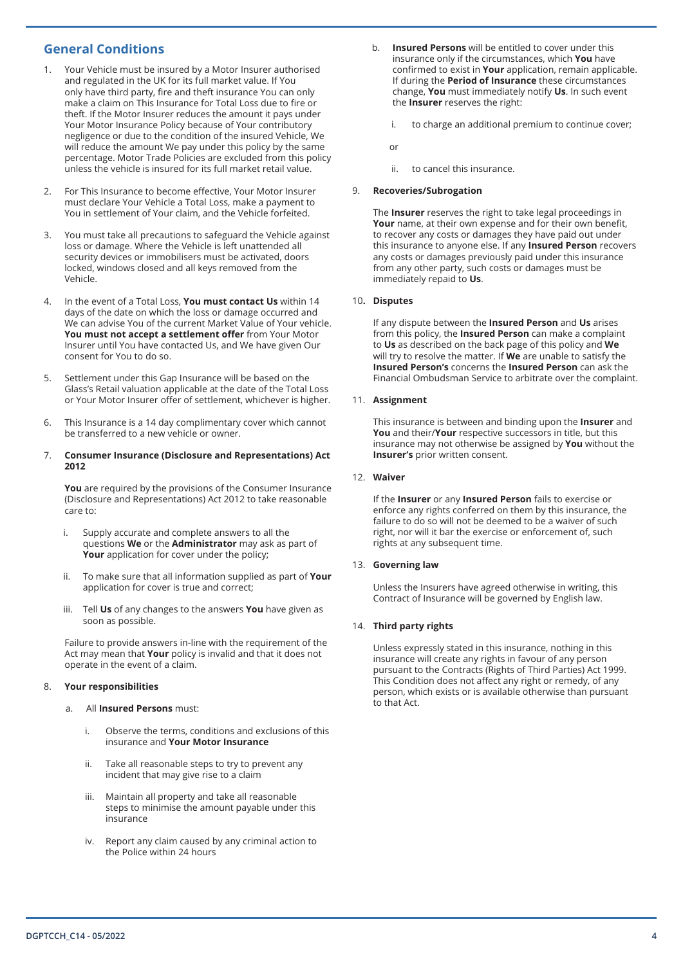# **General Conditions**

- 1. Your Vehicle must be insured by a Motor Insurer authorised and regulated in the UK for its full market value. If You only have third party, fire and theft insurance You can only make a claim on This Insurance for Total Loss due to fire or theft. If the Motor Insurer reduces the amount it pays under Your Motor Insurance Policy because of Your contributory negligence or due to the condition of the insured Vehicle, We will reduce the amount We pay under this policy by the same percentage. Motor Trade Policies are excluded from this policy unless the vehicle is insured for its full market retail value.
- 2. For This Insurance to become effective, Your Motor Insurer must declare Your Vehicle a Total Loss, make a payment to You in settlement of Your claim, and the Vehicle forfeited.
- 3. You must take all precautions to safeguard the Vehicle against loss or damage. Where the Vehicle is left unattended all security devices or immobilisers must be activated, doors locked, windows closed and all keys removed from the Vehicle.
- 4. In the event of a Total Loss, **You must contact Us** within 14 days of the date on which the loss or damage occurred and We can advise You of the current Market Value of Your vehicle. **You must not accept a settlement offer** from Your Motor Insurer until You have contacted Us, and We have given Our consent for You to do so.
- 5. Settlement under this Gap Insurance will be based on the Glass's Retail valuation applicable at the date of the Total Loss or Your Motor Insurer offer of settlement, whichever is higher.
- 6. This Insurance is a 14 day complimentary cover which cannot be transferred to a new vehicle or owner.

#### 7. **Consumer Insurance (Disclosure and Representations) Act 2012**

**You** are required by the provisions of the Consumer Insurance (Disclosure and Representations) Act 2012 to take reasonable care to:

- i. Supply accurate and complete answers to all the questions **We** or the **Administrator** may ask as part of **Your** application for cover under the policy;
- ii. To make sure that all information supplied as part of **Your**  application for cover is true and correct;
- iii. Tell **Us** of any changes to the answers **You** have given as soon as possible.

Failure to provide answers in-line with the requirement of the Act may mean that **Your** policy is invalid and that it does not operate in the event of a claim.

#### 8. **Your responsibilities**

- a. All **Insured Persons** must:
	- i. Observe the terms, conditions and exclusions of this insurance and **Your Motor Insurance**
	- ii. Take all reasonable steps to try to prevent any incident that may give rise to a claim
	- iii. Maintain all property and take all reasonable steps to minimise the amount payable under this insurance
	- iv. Report any claim caused by any criminal action to the Police within 24 hours
- b. **Insured Persons** will be entitled to cover under this insurance only if the circumstances, which **You** have confirmed to exist in **Your** application, remain applicable. If during the **Period of Insurance** these circumstances change, **You** must immediately notify **Us**. In such event the **Insurer** reserves the right:
	- i. to charge an additional premium to continue cover;

or

ii. to cancel this insurance.

### 9. **Recoveries/Subrogation**

The **Insurer** reserves the right to take legal proceedings in **Your** name, at their own expense and for their own benefit, to recover any costs or damages they have paid out under this insurance to anyone else. If any **Insured Person** recovers any costs or damages previously paid under this insurance from any other party, such costs or damages must be immediately repaid to **Us**.

#### 10**. Disputes**

If any dispute between the **Insured Person** and **Us** arises from this policy, the **Insured Person** can make a complaint to **Us** as described on the back page of this policy and **We** will try to resolve the matter. If **We** are unable to satisfy the **Insured Person's** concerns the **Insured Person** can ask the Financial Ombudsman Service to arbitrate over the complaint.

#### 11. **Assignment**

This insurance is between and binding upon the **Insurer** and **You** and their/**Your** respective successors in title, but this insurance may not otherwise be assigned by **You** without the **Insurer's** prior written consent.

#### 12. **Waiver**

If the **Insurer** or any **Insured Person** fails to exercise or enforce any rights conferred on them by this insurance, the failure to do so will not be deemed to be a waiver of such right, nor will it bar the exercise or enforcement of, such rights at any subsequent time.

#### 13. **Governing law**

Unless the Insurers have agreed otherwise in writing, this Contract of Insurance will be governed by English law.

#### 14. **Third party rights**

Unless expressly stated in this insurance, nothing in this insurance will create any rights in favour of any person pursuant to the Contracts (Rights of Third Parties) Act 1999. This Condition does not affect any right or remedy, of any person, which exists or is available otherwise than pursuant to that Act.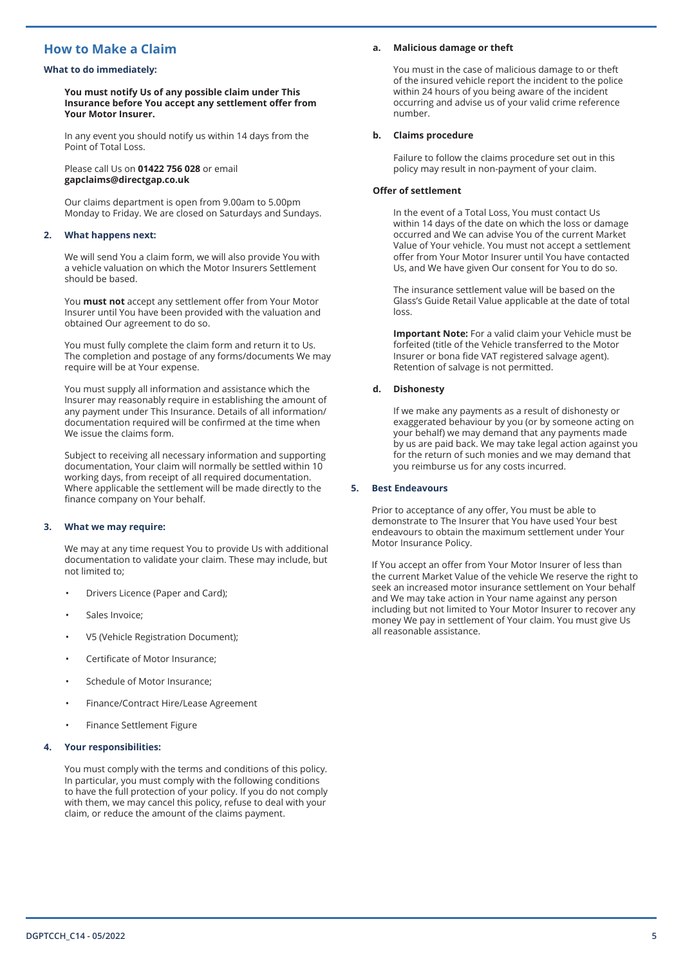# **How to Make a Claim**

#### **What to do immediately:**

**You must notify Us of any possible claim under This Insurance before You accept any settlement offer from Your Motor Insurer.**

In any event you should notify us within 14 days from the Point of Total Loss.

Please call Us on **01422 756 028** or email **gapclaims@directgap.co.uk**

Our claims department is open from 9.00am to 5.00pm Monday to Friday. We are closed on Saturdays and Sundays.

#### **2. What happens next:**

We will send You a claim form, we will also provide You with a vehicle valuation on which the Motor Insurers Settlement should be based.

You **must not** accept any settlement offer from Your Motor Insurer until You have been provided with the valuation and obtained Our agreement to do so.

You must fully complete the claim form and return it to Us. The completion and postage of any forms/documents We may require will be at Your expense.

You must supply all information and assistance which the Insurer may reasonably require in establishing the amount of any payment under This Insurance. Details of all information/ documentation required will be confirmed at the time when We issue the claims form.

Subject to receiving all necessary information and supporting documentation, Your claim will normally be settled within 10 working days, from receipt of all required documentation. Where applicable the settlement will be made directly to the finance company on Your behalf.

#### **3. What we may require:**

We may at any time request You to provide Us with additional documentation to validate your claim. These may include, but not limited to;

- Drivers Licence (Paper and Card);
- Sales Invoice;
- V5 (Vehicle Registration Document);
- Certificate of Motor Insurance;
- Schedule of Motor Insurance;
- Finance/Contract Hire/Lease Agreement
- Finance Settlement Figure

#### **4. Your responsibilities:**

You must comply with the terms and conditions of this policy. In particular, you must comply with the following conditions to have the full protection of your policy. If you do not comply with them, we may cancel this policy, refuse to deal with your claim, or reduce the amount of the claims payment.

#### **a. Malicious damage or theft**

You must in the case of malicious damage to or theft of the insured vehicle report the incident to the police within 24 hours of you being aware of the incident occurring and advise us of your valid crime reference number.

#### **b. Claims procedure**

Failure to follow the claims procedure set out in this policy may result in non-payment of your claim.

#### **Offer of settlement**

In the event of a Total Loss, You must contact Us within 14 days of the date on which the loss or damage occurred and We can advise You of the current Market Value of Your vehicle. You must not accept a settlement offer from Your Motor Insurer until You have contacted Us, and We have given Our consent for You to do so.

The insurance settlement value will be based on the Glass's Guide Retail Value applicable at the date of total loss.

**Important Note:** For a valid claim your Vehicle must be forfeited (title of the Vehicle transferred to the Motor Insurer or bona fide VAT registered salvage agent). Retention of salvage is not permitted.

#### **d. Dishonesty**

If we make any payments as a result of dishonesty or exaggerated behaviour by you (or by someone acting on your behalf) we may demand that any payments made by us are paid back. We may take legal action against you for the return of such monies and we may demand that you reimburse us for any costs incurred.

#### **5. Best Endeavours**

Prior to acceptance of any offer, You must be able to demonstrate to The Insurer that You have used Your best endeavours to obtain the maximum settlement under Your Motor Insurance Policy.

If You accept an offer from Your Motor Insurer of less than the current Market Value of the vehicle We reserve the right to seek an increased motor insurance settlement on Your behalf and We may take action in Your name against any person including but not limited to Your Motor Insurer to recover any money We pay in settlement of Your claim. You must give Us all reasonable assistance.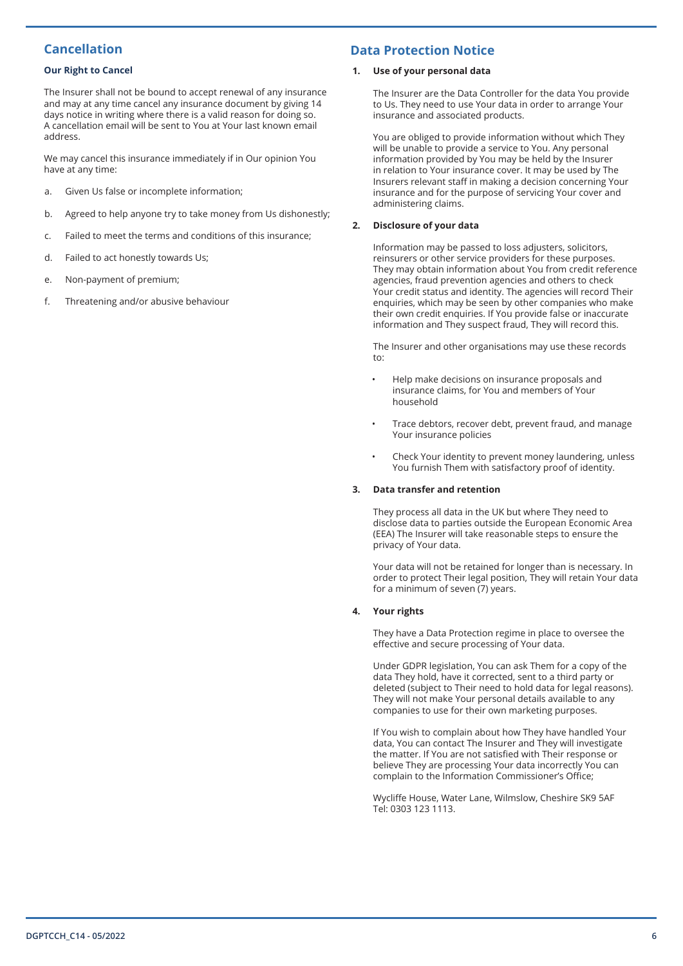# **Cancellation**

### **Our Right to Cancel**

The Insurer shall not be bound to accept renewal of any insurance and may at any time cancel any insurance document by giving 14 days notice in writing where there is a valid reason for doing so. A cancellation email will be sent to You at Your last known email address.

We may cancel this insurance immediately if in Our opinion You have at any time:

- a. Given Us false or incomplete information;
- b. Agreed to help anyone try to take money from Us dishonestly;
- c. Failed to meet the terms and conditions of this insurance;
- d. Failed to act honestly towards Us;
- e. Non-payment of premium;
- f. Threatening and/or abusive behaviour

# **Data Protection Notice**

#### **1. Use of your personal data**

The Insurer are the Data Controller for the data You provide to Us. They need to use Your data in order to arrange Your insurance and associated products.

You are obliged to provide information without which They will be unable to provide a service to You. Any personal information provided by You may be held by the Insurer in relation to Your insurance cover. It may be used by The Insurers relevant staff in making a decision concerning Your insurance and for the purpose of servicing Your cover and administering claims.

### **2. Disclosure of your data**

Information may be passed to loss adjusters, solicitors, reinsurers or other service providers for these purposes. They may obtain information about You from credit reference agencies, fraud prevention agencies and others to check Your credit status and identity. The agencies will record Their enquiries, which may be seen by other companies who make their own credit enquiries. If You provide false or inaccurate information and They suspect fraud, They will record this.

The Insurer and other organisations may use these records to:

- Help make decisions on insurance proposals and insurance claims, for You and members of Your household
- Trace debtors, recover debt, prevent fraud, and manage Your insurance policies
- Check Your identity to prevent money laundering, unless You furnish Them with satisfactory proof of identity.

#### **3. Data transfer and retention**

They process all data in the UK but where They need to disclose data to parties outside the European Economic Area (EEA) The Insurer will take reasonable steps to ensure the privacy of Your data.

Your data will not be retained for longer than is necessary. In order to protect Their legal position, They will retain Your data for a minimum of seven (7) years.

#### **4. Your rights**

They have a Data Protection regime in place to oversee the effective and secure processing of Your data.

Under GDPR legislation, You can ask Them for a copy of the data They hold, have it corrected, sent to a third party or deleted (subject to Their need to hold data for legal reasons). They will not make Your personal details available to any companies to use for their own marketing purposes.

If You wish to complain about how They have handled Your data, You can contact The Insurer and They will investigate the matter. If You are not satisfied with Their response or believe They are processing Your data incorrectly You can complain to the Information Commissioner's Office;

Wycliffe House, Water Lane, Wilmslow, Cheshire SK9 5AF Tel: 0303 123 1113.